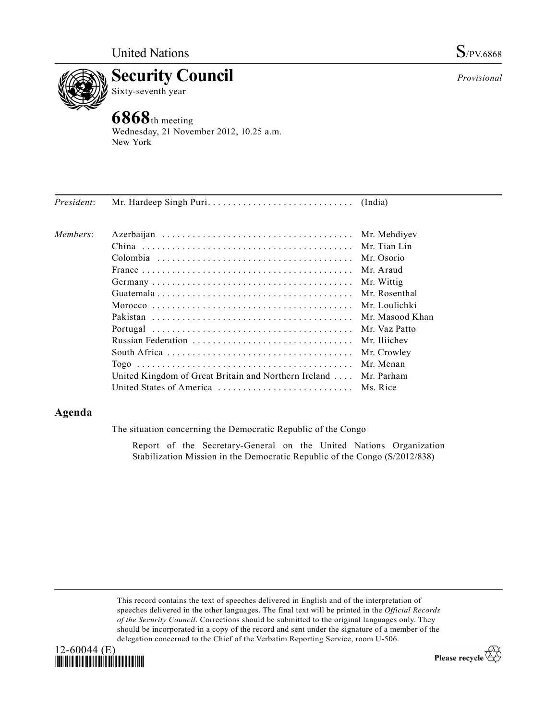



**6868**th meeting Wednesday, 21 November 2012, 10.25 a.m. New York

*President*: Mr. Hardeep Singh Puri . . . . . . . . . . . . . . . . . . . . . . . . . . . . . (India)

| Members: |                                                                  |             |
|----------|------------------------------------------------------------------|-------------|
|          |                                                                  |             |
|          |                                                                  | Mr. Osorio  |
|          |                                                                  |             |
|          |                                                                  | Mr. Wittig  |
|          |                                                                  |             |
|          |                                                                  |             |
|          |                                                                  |             |
|          |                                                                  |             |
|          | Russian Federation  Mr. Iliichev                                 |             |
|          |                                                                  | Mr. Crowley |
|          |                                                                  | Mr Menan    |
|          | United Kingdom of Great Britain and Northern Ireland  Mr. Parham |             |
|          | United States of America  Ms. Rice                               |             |

# **Agenda**

The situation concerning the Democratic Republic of the Congo

Report of the Secretary-General on the United Nations Organization Stabilization Mission in the Democratic Republic of the Congo (S/2012/838)

This record contains the text of speeches delivered in English and of the interpretation of speeches delivered in the other languages. The final text will be printed in the *Official Records of the Security Council*. Corrections should be submitted to the original languages only. They should be incorporated in a copy of the record and sent under the signature of a member of the delegation concerned to the Chief of the Verbatim Reporting Service, room U-506.



Please recycle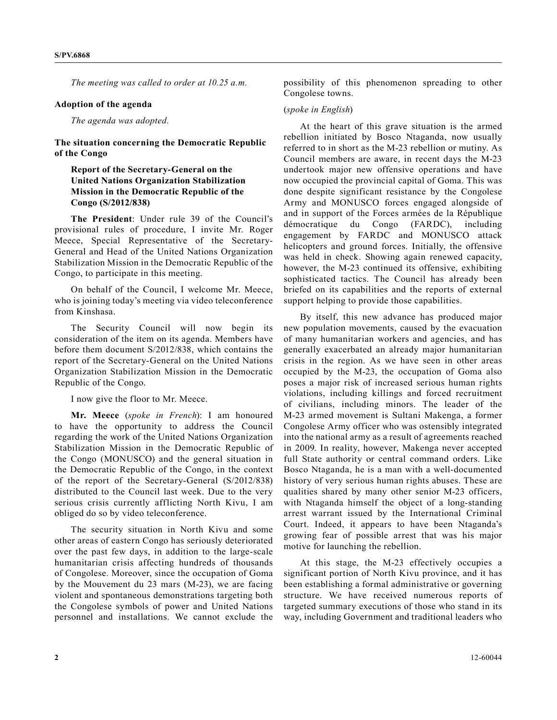*The meeting was called to order at 10.25 a.m.*

#### **Adoption of the agenda**

*The agenda was adopted.*

**The situation concerning the Democratic Republic of the Congo** 

## **Report of the Secretary-General on the United Nations Organization Stabilization Mission in the Democratic Republic of the Congo (S/2012/838)**

**The President**: Under rule 39 of the Council's provisional rules of procedure, I invite Mr. Roger Meece, Special Representative of the Secretary-General and Head of the United Nations Organization Stabilization Mission in the Democratic Republic of the Congo, to participate in this meeting.

On behalf of the Council, I welcome Mr. Meece, who is joining today's meeting via video teleconference from Kinshasa.

The Security Council will now begin its consideration of the item on its agenda. Members have before them document S/2012/838, which contains the report of the Secretary-General on the United Nations Organization Stabilization Mission in the Democratic Republic of the Congo.

I now give the floor to Mr. Meece.

**Mr. Meece** (*spoke in French*): I am honoured to have the opportunity to address the Council regarding the work of the United Nations Organization Stabilization Mission in the Democratic Republic of the Congo (MONUSCO) and the general situation in the Democratic Republic of the Congo, in the context of the report of the Secretary-General (S/2012/838) distributed to the Council last week. Due to the very serious crisis currently afflicting North Kivu, I am obliged do so by video teleconference.

The security situation in North Kivu and some other areas of eastern Congo has seriously deteriorated over the past few days, in addition to the large-scale humanitarian crisis affecting hundreds of thousands of Congolese. Moreover, since the occupation of Goma by the Mouvement du 23 mars (M-23), we are facing violent and spontaneous demonstrations targeting both the Congolese symbols of power and United Nations personnel and installations. We cannot exclude the

possibility of this phenomenon spreading to other Congolese towns.

### (*spoke in English*)

At the heart of this grave situation is the armed rebellion initiated by Bosco Ntaganda, now usually referred to in short as the M-23 rebellion or mutiny. As Council members are aware, in recent days the M-23 undertook major new offensive operations and have now occupied the provincial capital of Goma. This was done despite significant resistance by the Congolese Army and MONUSCO forces engaged alongside of and in support of the Forces armées de la République démocratique du Congo (FARDC), including engagement by FARDC and MONUSCO attack helicopters and ground forces. Initially, the offensive was held in check. Showing again renewed capacity, however, the M-23 continued its offensive, exhibiting sophisticated tactics. The Council has already been briefed on its capabilities and the reports of external support helping to provide those capabilities.

By itself, this new advance has produced major new population movements, caused by the evacuation of many humanitarian workers and agencies, and has generally exacerbated an already major humanitarian crisis in the region. As we have seen in other areas occupied by the M-23, the occupation of Goma also poses a major risk of increased serious human rights violations, including killings and forced recruitment of civilians, including minors. The leader of the M-23 armed movement is Sultani Makenga, a former Congolese Army officer who was ostensibly integrated into the national army as a result of agreements reached in 2009. In reality, however, Makenga never accepted full State authority or central command orders. Like Bosco Ntaganda, he is a man with a well-documented history of very serious human rights abuses. These are qualities shared by many other senior M-23 officers, with Ntaganda himself the object of a long-standing arrest warrant issued by the International Criminal Court. Indeed, it appears to have been Ntaganda's growing fear of possible arrest that was his major motive for launching the rebellion.

At this stage, the M-23 effectively occupies a significant portion of North Kivu province, and it has been establishing a formal administrative or governing structure. We have received numerous reports of targeted summary executions of those who stand in its way, including Government and traditional leaders who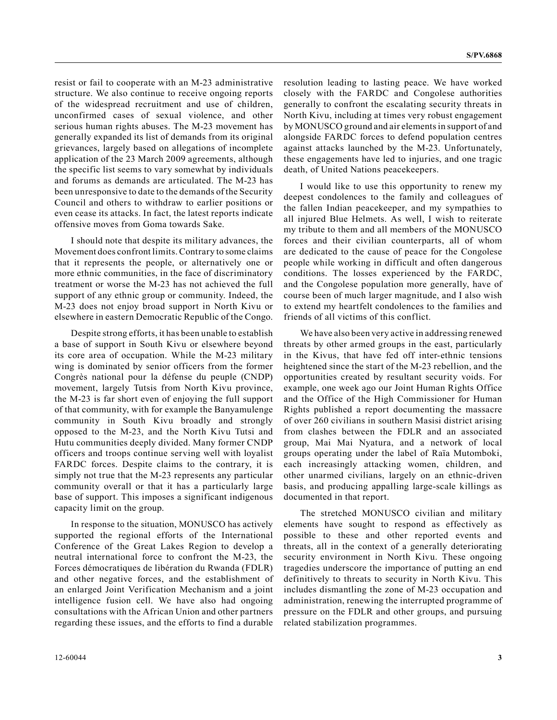resist or fail to cooperate with an M-23 administrative structure. We also continue to receive ongoing reports of the widespread recruitment and use of children, unconfirmed cases of sexual violence, and other serious human rights abuses. The M-23 movement has generally expanded its list of demands from its original grievances, largely based on allegations of incomplete application of the 23 March 2009 agreements, although the specific list seems to vary somewhat by individuals and forums as demands are articulated. The M-23 has been unresponsive to date to the demands of the Security Council and others to withdraw to earlier positions or even cease its attacks. In fact, the latest reports indicate offensive moves from Goma towards Sake.

I should note that despite its military advances, the Movement does confront limits. Contrary to some claims that it represents the people, or alternatively one or more ethnic communities, in the face of discriminatory treatment or worse the M-23 has not achieved the full support of any ethnic group or community. Indeed, the M-23 does not enjoy broad support in North Kivu or elsewhere in eastern Democratic Republic of the Congo.

Despite strong efforts, it has been unable to establish a base of support in South Kivu or elsewhere beyond its core area of occupation. While the M-23 military wing is dominated by senior officers from the former Congrès national pour la défense du peuple (CNDP) movement, largely Tutsis from North Kivu province, the M-23 is far short even of enjoying the full support of that community, with for example the Banyamulenge community in South Kivu broadly and strongly opposed to the M-23, and the North Kivu Tutsi and Hutu communities deeply divided. Many former CNDP officers and troops continue serving well with loyalist FARDC forces. Despite claims to the contrary, it is simply not true that the M-23 represents any particular community overall or that it has a particularly large base of support. This imposes a significant indigenous capacity limit on the group.

In response to the situation, MONUSCO has actively supported the regional efforts of the International Conference of the Great Lakes Region to develop a neutral international force to confront the M-23, the Forces démocratiques de libération du Rwanda (FDLR) and other negative forces, and the establishment of an enlarged Joint Verification Mechanism and a joint intelligence fusion cell. We have also had ongoing consultations with the African Union and other partners regarding these issues, and the efforts to find a durable

resolution leading to lasting peace. We have worked closely with the FARDC and Congolese authorities generally to confront the escalating security threats in North Kivu, including at times very robust engagement by MONUSCO ground and air elements in support of and alongside FARDC forces to defend population centres against attacks launched by the M-23. Unfortunately, these engagements have led to injuries, and one tragic death, of United Nations peacekeepers.

I would like to use this opportunity to renew my deepest condolences to the family and colleagues of the fallen Indian peacekeeper, and my sympathies to all injured Blue Helmets. As well, I wish to reiterate my tribute to them and all members of the MONUSCO forces and their civilian counterparts, all of whom are dedicated to the cause of peace for the Congolese people while working in difficult and often dangerous conditions. The losses experienced by the FARDC, and the Congolese population more generally, have of course been of much larger magnitude, and I also wish to extend my heartfelt condolences to the families and friends of all victims of this conflict.

We have also been very active in addressing renewed threats by other armed groups in the east, particularly in the Kivus, that have fed off inter-ethnic tensions heightened since the start of the M-23 rebellion, and the opportunities created by resultant security voids. For example, one week ago our Joint Human Rights Office and the Office of the High Commissioner for Human Rights published a report documenting the massacre of over 260 civilians in southern Masisi district arising from clashes between the FDLR and an associated group, Mai Mai Nyatura, and a network of local groups operating under the label of Raïa Mutomboki, each increasingly attacking women, children, and other unarmed civilians, largely on an ethnic-driven basis, and producing appalling large-scale killings as documented in that report.

The stretched MONUSCO civilian and military elements have sought to respond as effectively as possible to these and other reported events and threats, all in the context of a generally deteriorating security environment in North Kivu. These ongoing tragedies underscore the importance of putting an end definitively to threats to security in North Kivu. This includes dismantling the zone of M-23 occupation and administration, renewing the interrupted programme of pressure on the FDLR and other groups, and pursuing related stabilization programmes.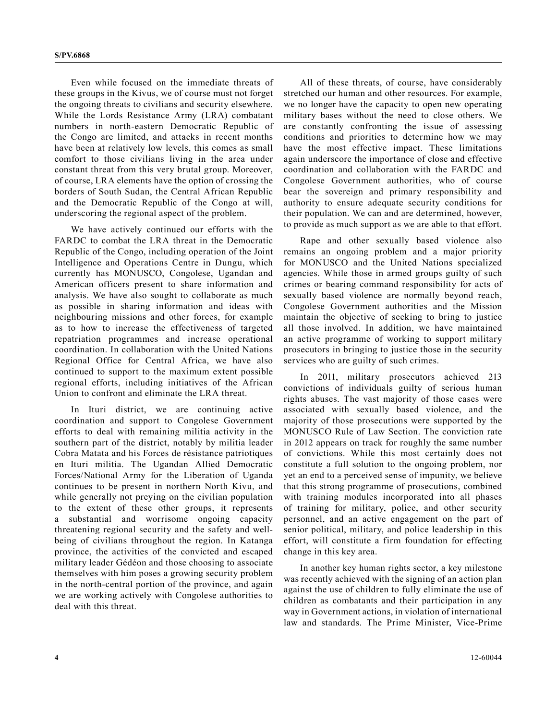Even while focused on the immediate threats of these groups in the Kivus, we of course must not forget the ongoing threats to civilians and security elsewhere. While the Lords Resistance Army (LRA) combatant numbers in north-eastern Democratic Republic of the Congo are limited, and attacks in recent months have been at relatively low levels, this comes as small comfort to those civilians living in the area under constant threat from this very brutal group. Moreover, of course, LRA elements have the option of crossing the borders of South Sudan, the Central African Republic and the Democratic Republic of the Congo at will, underscoring the regional aspect of the problem.

We have actively continued our efforts with the FARDC to combat the LRA threat in the Democratic Republic of the Congo, including operation of the Joint Intelligence and Operations Centre in Dungu, which currently has MONUSCO, Congolese, Ugandan and American officers present to share information and analysis. We have also sought to collaborate as much as possible in sharing information and ideas with neighbouring missions and other forces, for example as to how to increase the effectiveness of targeted repatriation programmes and increase operational coordination. In collaboration with the United Nations Regional Office for Central Africa, we have also continued to support to the maximum extent possible regional efforts, including initiatives of the African Union to confront and eliminate the LRA threat.

In Ituri district, we are continuing active coordination and support to Congolese Government efforts to deal with remaining militia activity in the southern part of the district, notably by militia leader Cobra Matata and his Forces de résistance patriotiques en Ituri militia. The Ugandan Allied Democratic Forces/National Army for the Liberation of Uganda continues to be present in northern North Kivu, and while generally not preying on the civilian population to the extent of these other groups, it represents a substantial and worrisome ongoing capacity threatening regional security and the safety and wellbeing of civilians throughout the region. In Katanga province, the activities of the convicted and escaped military leader Gédéon and those choosing to associate themselves with him poses a growing security problem in the north-central portion of the province, and again we are working actively with Congolese authorities to deal with this threat.

All of these threats, of course, have considerably stretched our human and other resources. For example, we no longer have the capacity to open new operating military bases without the need to close others. We are constantly confronting the issue of assessing conditions and priorities to determine how we may have the most effective impact. These limitations again underscore the importance of close and effective coordination and collaboration with the FARDC and Congolese Government authorities, who of course bear the sovereign and primary responsibility and authority to ensure adequate security conditions for their population. We can and are determined, however, to provide as much support as we are able to that effort.

Rape and other sexually based violence also remains an ongoing problem and a major priority for MONUSCO and the United Nations specialized agencies. While those in armed groups guilty of such crimes or bearing command responsibility for acts of sexually based violence are normally beyond reach, Congolese Government authorities and the Mission maintain the objective of seeking to bring to justice all those involved. In addition, we have maintained an active programme of working to support military prosecutors in bringing to justice those in the security services who are guilty of such crimes.

In 2011, military prosecutors achieved 213 convictions of individuals guilty of serious human rights abuses. The vast majority of those cases were associated with sexually based violence, and the majority of those prosecutions were supported by the MONUSCO Rule of Law Section. The conviction rate in 2012 appears on track for roughly the same number of convictions. While this most certainly does not constitute a full solution to the ongoing problem, nor yet an end to a perceived sense of impunity, we believe that this strong programme of prosecutions, combined with training modules incorporated into all phases of training for military, police, and other security personnel, and an active engagement on the part of senior political, military, and police leadership in this effort, will constitute a firm foundation for effecting change in this key area.

In another key human rights sector, a key milestone was recently achieved with the signing of an action plan against the use of children to fully eliminate the use of children as combatants and their participation in any way in Government actions, in violation of international law and standards. The Prime Minister, Vice-Prime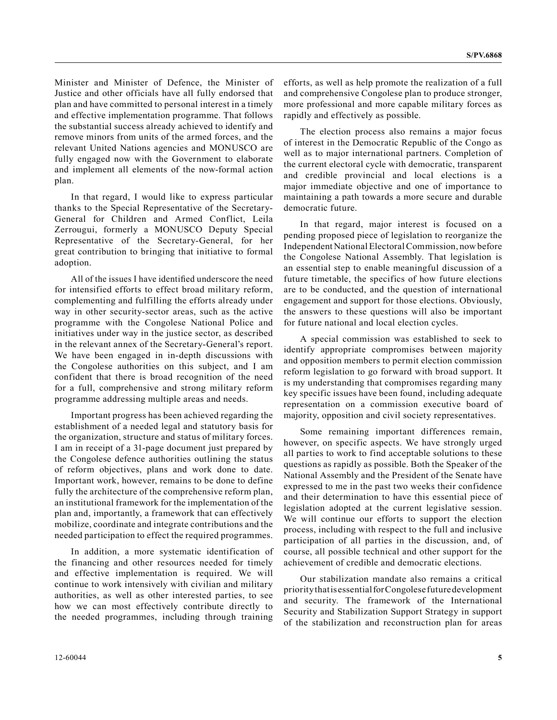Minister and Minister of Defence, the Minister of Justice and other officials have all fully endorsed that plan and have committed to personal interest in a timely and effective implementation programme. That follows the substantial success already achieved to identify and remove minors from units of the armed forces, and the relevant United Nations agencies and MONUSCO are fully engaged now with the Government to elaborate and implement all elements of the now-formal action plan.

In that regard, I would like to express particular thanks to the Special Representative of the Secretary-General for Children and Armed Conflict, Leila Zerrougui, formerly a MONUSCO Deputy Special Representative of the Secretary-General, for her great contribution to bringing that initiative to formal adoption.

All of the issues I have identified underscore the need for intensified efforts to effect broad military reform, complementing and fulfilling the efforts already under way in other security-sector areas, such as the active programme with the Congolese National Police and initiatives under way in the justice sector, as described in the relevant annex of the Secretary-General's report. We have been engaged in in-depth discussions with the Congolese authorities on this subject, and I am confident that there is broad recognition of the need for a full, comprehensive and strong military reform programme addressing multiple areas and needs.

Important progress has been achieved regarding the establishment of a needed legal and statutory basis for the organization, structure and status of military forces. I am in receipt of a 31-page document just prepared by the Congolese defence authorities outlining the status of reform objectives, plans and work done to date. Important work, however, remains to be done to define fully the architecture of the comprehensive reform plan, an institutional framework for the implementation of the plan and, importantly, a framework that can effectively mobilize, coordinate and integrate contributions and the needed participation to effect the required programmes.

In addition, a more systematic identification of the financing and other resources needed for timely and effective implementation is required. We will continue to work intensively with civilian and military authorities, as well as other interested parties, to see how we can most effectively contribute directly to the needed programmes, including through training

efforts, as well as help promote the realization of a full and comprehensive Congolese plan to produce stronger, more professional and more capable military forces as rapidly and effectively as possible.

The election process also remains a major focus of interest in the Democratic Republic of the Congo as well as to major international partners. Completion of the current electoral cycle with democratic, transparent and credible provincial and local elections is a major immediate objective and one of importance to maintaining a path towards a more secure and durable democratic future.

In that regard, major interest is focused on a pending proposed piece of legislation to reorganize the Independent National Electoral Commission, now before the Congolese National Assembly. That legislation is an essential step to enable meaningful discussion of a future timetable, the specifics of how future elections are to be conducted, and the question of international engagement and support for those elections. Obviously, the answers to these questions will also be important for future national and local election cycles.

A special commission was established to seek to identify appropriate compromises between majority and opposition members to permit election commission reform legislation to go forward with broad support. It is my understanding that compromises regarding many key specific issues have been found, including adequate representation on a commission executive board of majority, opposition and civil society representatives.

Some remaining important differences remain, however, on specific aspects. We have strongly urged all parties to work to find acceptable solutions to these questions as rapidly as possible. Both the Speaker of the National Assembly and the President of the Senate have expressed to me in the past two weeks their confidence and their determination to have this essential piece of legislation adopted at the current legislative session. We will continue our efforts to support the election process, including with respect to the full and inclusive participation of all parties in the discussion, and, of course, all possible technical and other support for the achievement of credible and democratic elections.

Our stabilization mandate also remains a critical priority that is essential for Congolese future development and security. The framework of the International Security and Stabilization Support Strategy in support of the stabilization and reconstruction plan for areas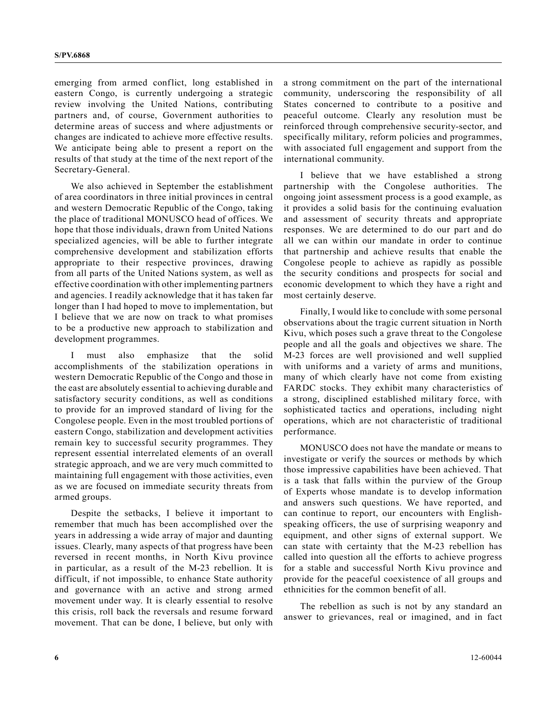emerging from armed conflict, long established in eastern Congo, is currently undergoing a strategic review involving the United Nations, contributing partners and, of course, Government authorities to determine areas of success and where adjustments or changes are indicated to achieve more effective results. We anticipate being able to present a report on the results of that study at the time of the next report of the Secretary-General.

We also achieved in September the establishment of area coordinators in three initial provinces in central and western Democratic Republic of the Congo, taking the place of traditional MONUSCO head of offices. We hope that those individuals, drawn from United Nations specialized agencies, will be able to further integrate comprehensive development and stabilization efforts appropriate to their respective provinces, drawing from all parts of the United Nations system, as well as effective coordination with other implementing partners and agencies. I readily acknowledge that it has taken far longer than I had hoped to move to implementation, but I believe that we are now on track to what promises to be a productive new approach to stabilization and development programmes.

I must also emphasize that the solid accomplishments of the stabilization operations in western Democratic Republic of the Congo and those in the east are absolutely essential to achieving durable and satisfactory security conditions, as well as conditions to provide for an improved standard of living for the Congolese people. Even in the most troubled portions of eastern Congo, stabilization and development activities remain key to successful security programmes. They represent essential interrelated elements of an overall strategic approach, and we are very much committed to maintaining full engagement with those activities, even as we are focused on immediate security threats from armed groups.

Despite the setbacks, I believe it important to remember that much has been accomplished over the years in addressing a wide array of major and daunting issues. Clearly, many aspects of that progress have been reversed in recent months, in North Kivu province in particular, as a result of the M-23 rebellion. It is difficult, if not impossible, to enhance State authority and governance with an active and strong armed movement under way. It is clearly essential to resolve this crisis, roll back the reversals and resume forward movement. That can be done, I believe, but only with a strong commitment on the part of the international community, underscoring the responsibility of all States concerned to contribute to a positive and peaceful outcome. Clearly any resolution must be reinforced through comprehensive security-sector, and specifically military, reform policies and programmes, with associated full engagement and support from the international community.

I believe that we have established a strong partnership with the Congolese authorities. The ongoing joint assessment process is a good example, as it provides a solid basis for the continuing evaluation and assessment of security threats and appropriate responses. We are determined to do our part and do all we can within our mandate in order to continue that partnership and achieve results that enable the Congolese people to achieve as rapidly as possible the security conditions and prospects for social and economic development to which they have a right and most certainly deserve.

Finally, I would like to conclude with some personal observations about the tragic current situation in North Kivu, which poses such a grave threat to the Congolese people and all the goals and objectives we share. The M-23 forces are well provisioned and well supplied with uniforms and a variety of arms and munitions, many of which clearly have not come from existing FARDC stocks. They exhibit many characteristics of a strong, disciplined established military force, with sophisticated tactics and operations, including night operations, which are not characteristic of traditional performance.

MONUSCO does not have the mandate or means to investigate or verify the sources or methods by which those impressive capabilities have been achieved. That is a task that falls within the purview of the Group of Experts whose mandate is to develop information and answers such questions. We have reported, and can continue to report, our encounters with Englishspeaking officers, the use of surprising weaponry and equipment, and other signs of external support. We can state with certainty that the M-23 rebellion has called into question all the efforts to achieve progress for a stable and successful North Kivu province and provide for the peaceful coexistence of all groups and ethnicities for the common benefit of all.

The rebellion as such is not by any standard an answer to grievances, real or imagined, and in fact